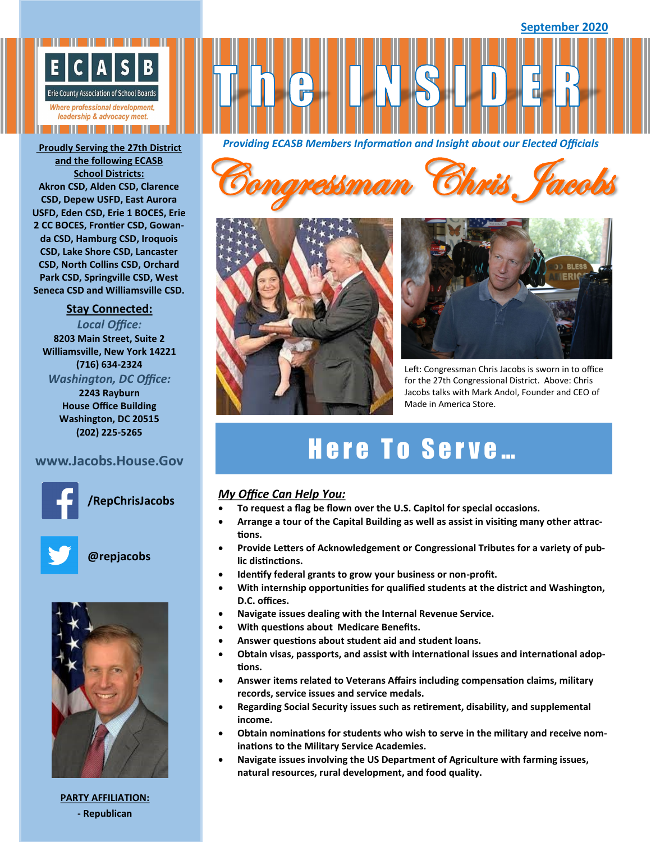

**and the following ECASB School Districts: Akron CSD, Alden CSD, Clarence CSD, Depew USFD, East Aurora USFD, Eden CSD, Erie 1 BOCES, Erie 2 CC BOCES, Frontier CSD, Gowanda CSD, Hamburg CSD, Iroquois CSD, Lake Shore CSD, Lancaster CSD, North Collins CSD, Orchard Park CSD, Springville CSD, West Seneca CSD and Williamsville CSD.**

### **Stay Connected:**

*Local Office:* **8203 Main Street, Suite 2 Williamsville, New York 14221 (716) 634-2324** *Washington, DC Office:* **2243 Rayburn House Office Building Washington, DC 20515 (202) 225-5265**

### **www.Jacobs.House.Gov**



**/RepChrisJacobs**



**@repjacobs**



**PARTY AFFILIATION: - Republican**

*Providing ECASB Members Information and Insight about our Elected Officials* **Proudly Serving the 27th District** 

Congressman Chris Jacobs





Left: Congressman Chris Jacobs is sworn in to office for the 27th Congressional District. Above: Chris Jacobs talks with Mark Andol, Founder and CEO of Made in America Store.

# Here To Serve...

### *My Office Can Help You:*

- **To request a flag be flown over the U.S. Capitol for special occasions.**
- **Arrange a tour of the Capital Building as well as assist in visiting many other attractions.**
- **Provide Letters of Acknowledgement or Congressional Tributes for a variety of public distinctions.**
- **Identify federal grants to grow your business or non-profit.**
- **With internship opportunities for qualified students at the district and Washington, D.C. offices.**
- **Navigate issues dealing with the Internal Revenue Service.**
- **With questions about Medicare Benefits.**
- **Answer questions about student aid and student loans.**
- **Obtain visas, passports, and assist with international issues and international adoptions.**
- **Answer items related to Veterans Affairs including compensation claims, military records, service issues and service medals.**
- **Regarding Social Security issues such as retirement, disability, and supplemental income.**
- **Obtain nominations for students who wish to serve in the military and receive nominations to the Military Service Academies.**
- **Navigate issues involving the US Department of Agriculture with farming issues, natural resources, rural development, and food quality.**